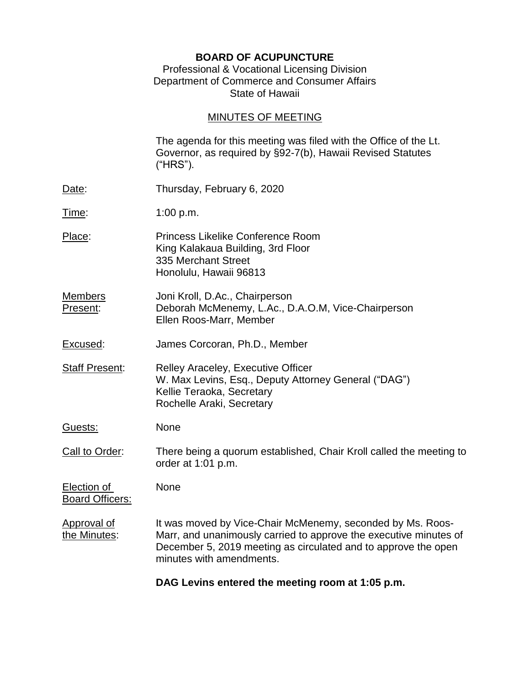## **BOARD OF ACUPUNCTURE**

### Professional & Vocational Licensing Division Department of Commerce and Consumer Affairs State of Hawaii

# MINUTES OF MEETING

| the Minutes:                                 | Marr, and unanimously carried to approve the executive minutes of<br>December 5, 2019 meeting as circulated and to approve the open<br>minutes with amendments. |
|----------------------------------------------|-----------------------------------------------------------------------------------------------------------------------------------------------------------------|
| <b>Approval of</b>                           | It was moved by Vice-Chair McMenemy, seconded by Ms. Roos-                                                                                                      |
| <b>Election of</b><br><b>Board Officers:</b> | None                                                                                                                                                            |
| Call to Order:                               | There being a quorum established, Chair Kroll called the meeting to<br>order at 1:01 p.m.                                                                       |
| <u>Guests:</u>                               | None                                                                                                                                                            |
| Staff Present:                               | <b>Relley Araceley, Executive Officer</b><br>W. Max Levins, Esq., Deputy Attorney General ("DAG")<br>Kellie Teraoka, Secretary<br>Rochelle Araki, Secretary     |
| Excused:                                     | James Corcoran, Ph.D., Member                                                                                                                                   |
| <b>Members</b><br>Present:                   | Joni Kroll, D.Ac., Chairperson<br>Deborah McMenemy, L.Ac., D.A.O.M, Vice-Chairperson<br>Ellen Roos-Marr, Member                                                 |
| Place:                                       | <b>Princess Likelike Conference Room</b><br>King Kalakaua Building, 3rd Floor<br>335 Merchant Street<br>Honolulu, Hawaii 96813                                  |
| <u>Time:</u>                                 | 1:00 $p.m.$                                                                                                                                                     |
| <u>Date</u> :                                | Thursday, February 6, 2020                                                                                                                                      |
|                                              | The agenda for this meeting was filed with the Office of the Lt.<br>Governor, as required by §92-7(b), Hawaii Revised Statutes<br>("HRS").                      |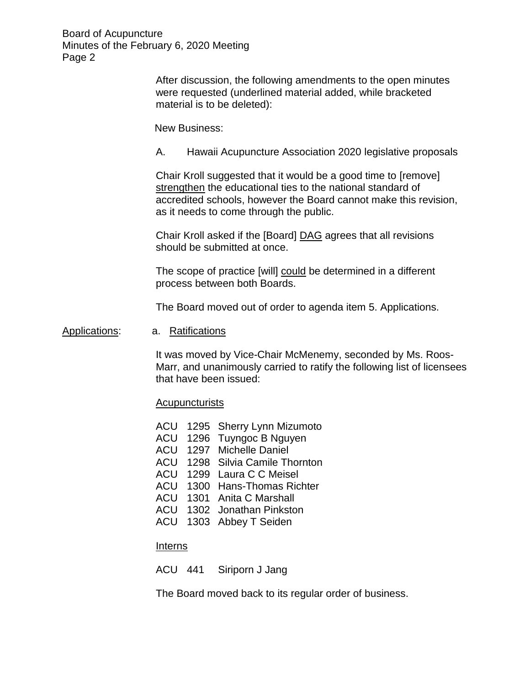> After discussion, the following amendments to the open minutes were requested (underlined material added, while bracketed material is to be deleted):

New Business:

A. Hawaii Acupuncture Association 2020 legislative proposals

Chair Kroll suggested that it would be a good time to [remove] strengthen the educational ties to the national standard of accredited schools, however the Board cannot make this revision, as it needs to come through the public.

Chair Kroll asked if the [Board] DAG agrees that all revisions should be submitted at once.

The scope of practice [will] could be determined in a different process between both Boards.

The Board moved out of order to agenda item 5. Applications.

#### Applications: a. Ratifications

It was moved by Vice-Chair McMenemy, seconded by Ms. Roos-Marr, and unanimously carried to ratify the following list of licensees that have been issued:

#### **Acupuncturists**

- ACU 1295 Sherry Lynn Mizumoto
- ACU 1296 Tuyngoc B Nguyen
- ACU 1297 Michelle Daniel
- ACU 1298 Silvia Camile Thornton
- ACU 1299 Laura C C Meisel
- ACU 1300 Hans-Thomas Richter
- ACU 1301 Anita C Marshall
- ACU 1302 Jonathan Pinkston
- ACU 1303 Abbey T Seiden

#### **Interns**

ACU 441 Siriporn J Jang

The Board moved back to its regular order of business.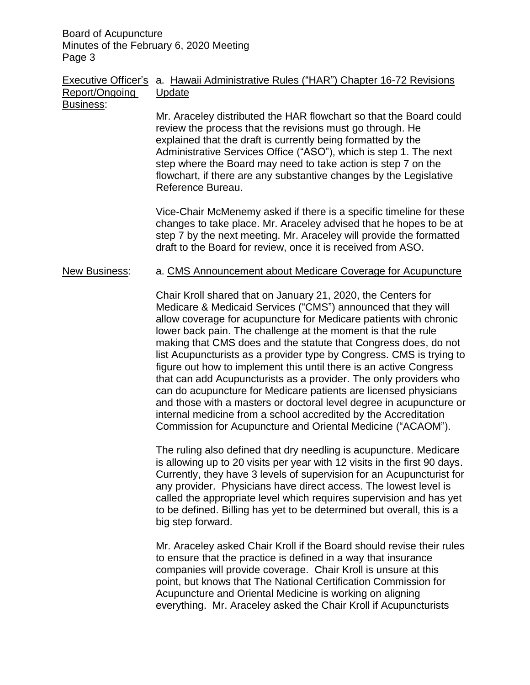### Executive Officer's a. Hawaii Administrative Rules ("HAR") Chapter 16-72 Revisions Report/Ongoing Update Business:

Mr. Araceley distributed the HAR flowchart so that the Board could review the process that the revisions must go through. He explained that the draft is currently being formatted by the Administrative Services Office ("ASO"), which is step 1. The next step where the Board may need to take action is step 7 on the flowchart, if there are any substantive changes by the Legislative Reference Bureau.

Vice-Chair McMenemy asked if there is a specific timeline for these changes to take place. Mr. Araceley advised that he hopes to be at step 7 by the next meeting. Mr. Araceley will provide the formatted draft to the Board for review, once it is received from ASO.

### New Business: a. CMS Announcement about Medicare Coverage for Acupuncture

Chair Kroll shared that on January 21, 2020, the Centers for Medicare & Medicaid Services ("CMS") announced that they will allow coverage for acupuncture for Medicare patients with chronic lower back pain. The challenge at the moment is that the rule making that CMS does and the statute that Congress does, do not list Acupuncturists as a provider type by Congress. CMS is trying to figure out how to implement this until there is an active Congress that can add Acupuncturists as a provider. The only providers who can do acupuncture for Medicare patients are licensed physicians and those with a masters or doctoral level degree in acupuncture or internal medicine from a school accredited by the Accreditation Commission for Acupuncture and Oriental Medicine ("ACAOM").

The ruling also defined that dry needling is acupuncture. Medicare is allowing up to 20 visits per year with 12 visits in the first 90 days. Currently, they have 3 levels of supervision for an Acupuncturist for any provider. Physicians have direct access. The lowest level is called the appropriate level which requires supervision and has yet to be defined. Billing has yet to be determined but overall, this is a big step forward.

Mr. Araceley asked Chair Kroll if the Board should revise their rules to ensure that the practice is defined in a way that insurance companies will provide coverage. Chair Kroll is unsure at this point, but knows that The National Certification Commission for Acupuncture and Oriental Medicine is working on aligning everything. Mr. Araceley asked the Chair Kroll if Acupuncturists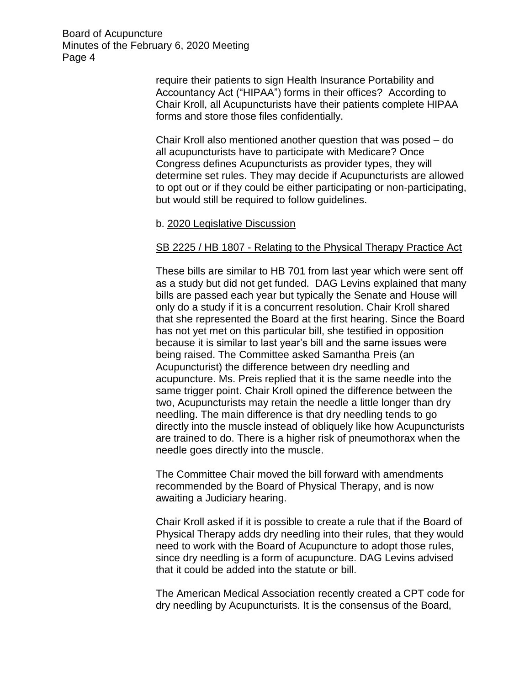> require their patients to sign Health Insurance Portability and Accountancy Act ("HIPAA") forms in their offices? According to Chair Kroll, all Acupuncturists have their patients complete HIPAA forms and store those files confidentially.

Chair Kroll also mentioned another question that was posed – do all acupuncturists have to participate with Medicare? Once Congress defines Acupuncturists as provider types, they will determine set rules. They may decide if Acupuncturists are allowed to opt out or if they could be either participating or non-participating, but would still be required to follow guidelines.

#### b. 2020 Legislative Discussion

### SB 2225 / HB 1807 - Relating to the Physical Therapy Practice Act

These bills are similar to HB 701 from last year which were sent off as a study but did not get funded. DAG Levins explained that many bills are passed each year but typically the Senate and House will only do a study if it is a concurrent resolution. Chair Kroll shared that she represented the Board at the first hearing. Since the Board has not yet met on this particular bill, she testified in opposition because it is similar to last year's bill and the same issues were being raised. The Committee asked Samantha Preis (an Acupuncturist) the difference between dry needling and acupuncture. Ms. Preis replied that it is the same needle into the same trigger point. Chair Kroll opined the difference between the two, Acupuncturists may retain the needle a little longer than dry needling. The main difference is that dry needling tends to go directly into the muscle instead of obliquely like how Acupuncturists are trained to do. There is a higher risk of pneumothorax when the needle goes directly into the muscle.

The Committee Chair moved the bill forward with amendments recommended by the Board of Physical Therapy, and is now awaiting a Judiciary hearing.

Chair Kroll asked if it is possible to create a rule that if the Board of Physical Therapy adds dry needling into their rules, that they would need to work with the Board of Acupuncture to adopt those rules, since dry needling is a form of acupuncture. DAG Levins advised that it could be added into the statute or bill.

The American Medical Association recently created a CPT code for dry needling by Acupuncturists. It is the consensus of the Board,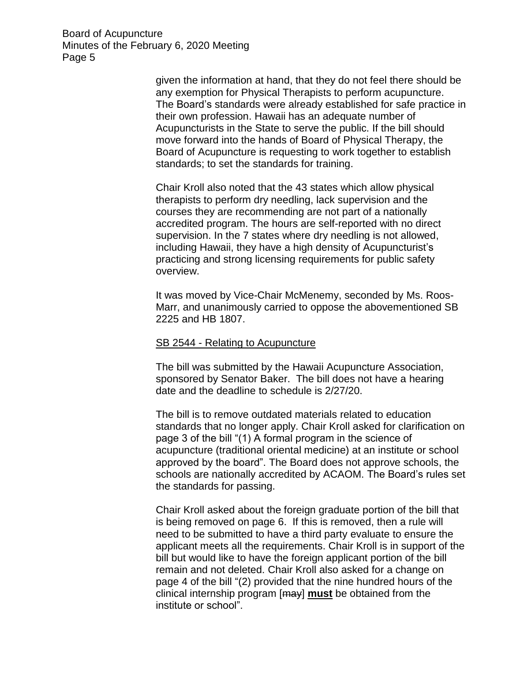> given the information at hand, that they do not feel there should be any exemption for Physical Therapists to perform acupuncture. The Board's standards were already established for safe practice in their own profession. Hawaii has an adequate number of Acupuncturists in the State to serve the public. If the bill should move forward into the hands of Board of Physical Therapy, the Board of Acupuncture is requesting to work together to establish standards; to set the standards for training.

Chair Kroll also noted that the 43 states which allow physical therapists to perform dry needling, lack supervision and the courses they are recommending are not part of a nationally accredited program. The hours are self-reported with no direct supervision. In the 7 states where dry needling is not allowed, including Hawaii, they have a high density of Acupuncturist's practicing and strong licensing requirements for public safety overview.

It was moved by Vice-Chair McMenemy, seconded by Ms. Roos-Marr, and unanimously carried to oppose the abovementioned SB 2225 and HB 1807.

#### SB 2544 - Relating to Acupuncture

The bill was submitted by the Hawaii Acupuncture Association, sponsored by Senator Baker. The bill does not have a hearing date and the deadline to schedule is 2/27/20.

The bill is to remove outdated materials related to education standards that no longer apply. Chair Kroll asked for clarification on page 3 of the bill "(1) A formal program in the science of acupuncture (traditional oriental medicine) at an institute or school approved by the board". The Board does not approve schools, the schools are nationally accredited by ACAOM. The Board's rules set the standards for passing.

Chair Kroll asked about the foreign graduate portion of the bill that is being removed on page 6. If this is removed, then a rule will need to be submitted to have a third party evaluate to ensure the applicant meets all the requirements. Chair Kroll is in support of the bill but would like to have the foreign applicant portion of the bill remain and not deleted. Chair Kroll also asked for a change on page 4 of the bill "(2) provided that the nine hundred hours of the clinical internship program [may] **must** be obtained from the institute or school".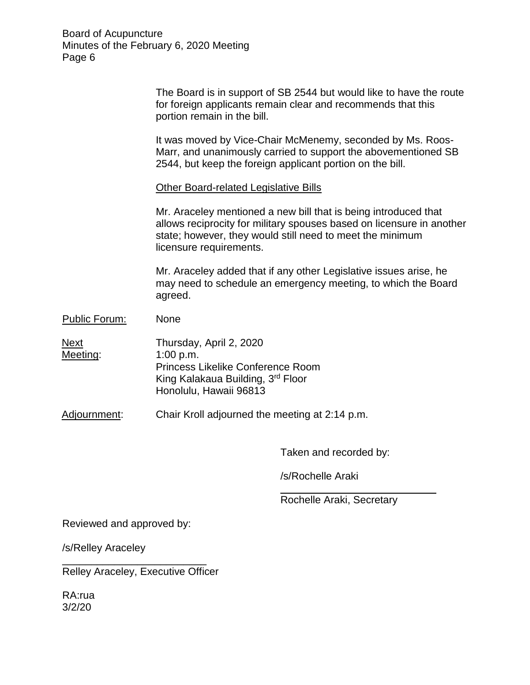|                  | The Board is in support of SB 2544 but would like to have the route<br>for foreign applicants remain clear and recommends that this<br>portion remain in the bill.                                                               |
|------------------|----------------------------------------------------------------------------------------------------------------------------------------------------------------------------------------------------------------------------------|
|                  | It was moved by Vice-Chair McMenemy, seconded by Ms. Roos-<br>Marr, and unanimously carried to support the abovementioned SB<br>2544, but keep the foreign applicant portion on the bill.                                        |
|                  | <b>Other Board-related Legislative Bills</b>                                                                                                                                                                                     |
|                  | Mr. Araceley mentioned a new bill that is being introduced that<br>allows reciprocity for military spouses based on licensure in another<br>state; however, they would still need to meet the minimum<br>licensure requirements. |
|                  | Mr. Araceley added that if any other Legislative issues arise, he<br>may need to schedule an emergency meeting, to which the Board<br>agreed.                                                                                    |
| Public Forum:    | None                                                                                                                                                                                                                             |
| Next<br>Meeting: | Thursday, April 2, 2020<br>1:00 p.m.<br><b>Princess Likelike Conference Room</b><br>King Kalakaua Building, 3rd Floor<br>Honolulu, Hawaii 96813                                                                                  |
| Adjournment:     | Chair Kroll adjourned the meeting at 2:14 p.m.                                                                                                                                                                                   |
|                  |                                                                                                                                                                                                                                  |

Taken and recorded by:

/s/Rochelle Araki

\_\_\_\_\_\_\_\_\_\_\_\_\_\_\_\_\_\_\_\_\_\_\_\_\_\_\_ Rochelle Araki, Secretary

Reviewed and approved by:

/s/Relley Araceley

Relley Araceley, Executive Officer

\_\_\_\_\_\_\_\_\_\_\_\_\_\_\_\_\_\_\_\_\_\_\_\_\_

RA:rua 3/2/20